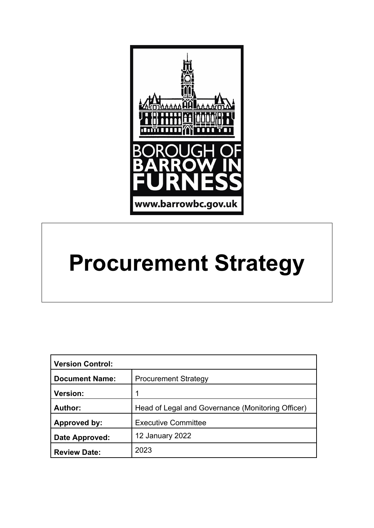

# **Procurement Strategy**

| <b>Version Control:</b> |                                                   |
|-------------------------|---------------------------------------------------|
| <b>Document Name:</b>   | <b>Procurement Strategy</b>                       |
| <b>Version:</b>         | 1                                                 |
| Author:                 | Head of Legal and Governance (Monitoring Officer) |
| Approved by:            | <b>Executive Committee</b>                        |
| Date Approved:          | 12 January 2022                                   |
| <b>Review Date:</b>     | 2023                                              |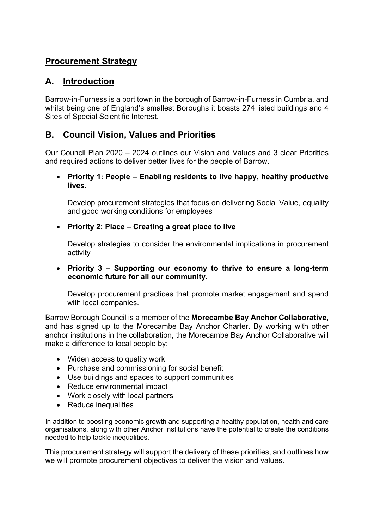# **Procurement Strategy**

# **A. Introduction**

Barrow-in-Furness is a port town in the borough of Barrow-in-Furness in Cumbria, and whilst being one of England's smallest Boroughs it boasts 274 listed buildings and 4 Sites of Special Scientific Interest.

# **B. Council Vision, Values and Priorities**

Our Council Plan 2020 – 2024 outlines our Vision and Values and 3 clear Priorities and required actions to deliver better lives for the people of Barrow.

 **Priority 1: People – Enabling residents to live happy, healthy productive lives**.

Develop procurement strategies that focus on delivering Social Value, equality and good working conditions for employees

**Priority 2: Place – Creating a great place to live**

Develop strategies to consider the environmental implications in procurement activity

 **Priority 3 – Supporting our economy to thrive to ensure a long-term economic future for all our community.**

Develop procurement practices that promote market engagement and spend with local companies.

Barrow Borough Council is a member of the **Morecambe Bay Anchor Collaborative**, and has signed up to the Morecambe Bay Anchor Charter. By working with other anchor institutions in the collaboration, the Morecambe Bay Anchor Collaborative will make a difference to local people by:

- Widen access to quality work
- Purchase and commissioning for social benefit
- Use buildings and spaces to support communities
- Reduce environmental impact
- Work closely with local partners
- Reduce inequalities

In addition to boosting economic growth and supporting a healthy population, health and care organisations, along with other Anchor Institutions have the potential to create the conditions needed to help tackle inequalities.

This procurement strategy will support the delivery of these priorities, and outlines how we will promote procurement objectives to deliver the vision and values.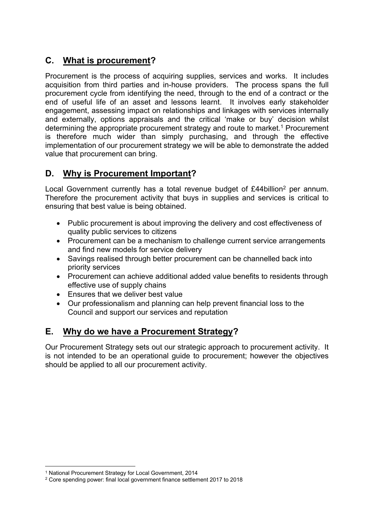# **C. What is procurement?**

Procurement is the process of acquiring supplies, services and works. It includes acquisition from third parties and in-house providers. The process spans the full procurement cycle from identifying the need, through to the end of a contract or the end of useful life of an asset and lessons learnt. It involves early stakeholder engagement, assessing impact on relationships and linkages with services internally and externally, options appraisals and the critical 'make or buy' decision whilst determining the appropriate procurement strategy and route to market.<sup>1</sup> Procurement is therefore much wider than simply purchasing, and through the effective implementation of our procurement strategy we will be able to demonstrate the added value that procurement can bring.

# **D. Why is Procurement Important?**

Local Government currently has a total revenue budget of £44billion<sup>2</sup> per annum. Therefore the procurement activity that buys in supplies and services is critical to ensuring that best value is being obtained.

- Public procurement is about improving the delivery and cost effectiveness of quality public services to citizens
- Procurement can be a mechanism to challenge current service arrangements and find new models for service delivery
- Savings realised through better procurement can be channelled back into priority services
- Procurement can achieve additional added value benefits to residents through effective use of supply chains
- Ensures that we deliver best value
- Our professionalism and planning can help prevent financial loss to the Council and support our services and reputation

# **E. Why do we have a Procurement Strategy?**

Our Procurement Strategy sets out our strategic approach to procurement activity. It is not intended to be an operational guide to procurement; however the objectives should be applied to all our procurement activity.

<sup>1</sup> National Procurement Strategy for Local Government, 2014

<sup>2</sup> Core spending power: final local government finance settlement 2017 to 2018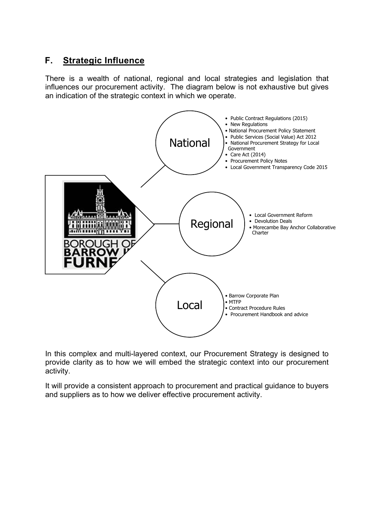# **F. Strategic Influence**

There is a wealth of national, regional and local strategies and legislation that influences our procurement activity. The diagram below is not exhaustive but gives an indication of the strategic context in which we operate.



In this complex and multi-layered context, our Procurement Strategy is designed to provide clarity as to how we will embed the strategic context into our procurement activity.

It will provide a consistent approach to procurement and practical guidance to buyers and suppliers as to how we deliver effective procurement activity.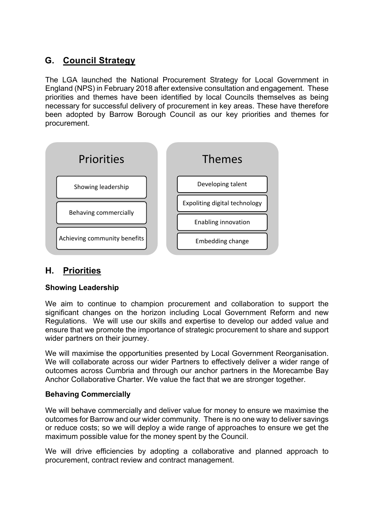# **G. Council Strategy**

The LGA launched the National Procurement Strategy for Local Government in England (NPS) in February 2018 after extensive consultation and engagement. These priorities and themes have been identified by local Councils themselves as being necessary for successful delivery of procurement in key areas. These have therefore been adopted by Barrow Borough Council as our key priorities and themes for procurement.



## **H. Priorities**

#### **Showing Leadership**

We aim to continue to champion procurement and collaboration to support the significant changes on the horizon including Local Government Reform and new Regulations. We will use our skills and expertise to develop our added value and ensure that we promote the importance of strategic procurement to share and support wider partners on their journey.

We will maximise the opportunities presented by Local Government Reorganisation. We will collaborate across our wider Partners to effectively deliver a wider range of outcomes across Cumbria and through our anchor partners in the Morecambe Bay Anchor Collaborative Charter. We value the fact that we are stronger together.

#### **Behaving Commercially**

We will behave commercially and deliver value for money to ensure we maximise the outcomes for Barrow and our wider community. There is no one way to deliver savings or reduce costs; so we will deploy a wide range of approaches to ensure we get the maximum possible value for the money spent by the Council.

We will drive efficiencies by adopting a collaborative and planned approach to procurement, contract review and contract management.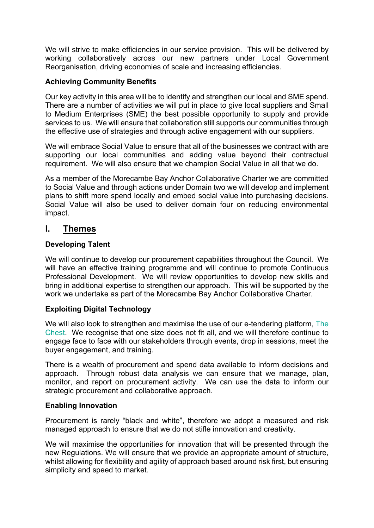We will strive to make efficiencies in our service provision. This will be delivered by working collaboratively across our new partners under Local Government Reorganisation, driving economies of scale and increasing efficiencies.

#### **Achieving Community Benefits**

Our key activity in this area will be to identify and strengthen our local and SME spend. There are a number of activities we will put in place to give local suppliers and Small to Medium Enterprises (SME) the best possible opportunity to supply and provide services to us. We will ensure that collaboration still supports our communities through the effective use of strategies and through active engagement with our suppliers.

We will embrace Social Value to ensure that all of the businesses we contract with are supporting our local communities and adding value beyond their contractual requirement. We will also ensure that we champion Social Value in all that we do.

As a member of the Morecambe Bay Anchor Collaborative Charter we are committed to Social Value and through actions under Domain two we will develop and implement plans to shift more spend locally and embed social value into purchasing decisions. Social Value will also be used to deliver domain four on reducing environmental impact.

### **I. Themes**

#### **Developing Talent**

We will continue to develop our procurement capabilities throughout the Council. We will have an effective training programme and will continue to promote Continuous Professional Development. We will review opportunities to develop new skills and bring in additional expertise to strengthen our approach. This will be supported by the work we undertake as part of the Morecambe Bay Anchor Collaborative Charter.

#### **Exploiting Digital Technology**

We will also look to strengthen and maximise the use of our e-tendering platform, [The](https://www.the-chest.org.uk/) [Chest](https://www.the-chest.org.uk/). We recognise that one size does not fit all, and we will therefore continue to engage face to face with our stakeholders through events, drop in sessions, meet the buyer engagement, and training.

There is a wealth of procurement and spend data available to inform decisions and approach. Through robust data analysis we can ensure that we manage, plan, monitor, and report on procurement activity. We can use the data to inform our strategic procurement and collaborative approach.

#### **Enabling Innovation**

Procurement is rarely "black and white", therefore we adopt a measured and risk managed approach to ensure that we do not stifle innovation and creativity.

We will maximise the opportunities for innovation that will be presented through the new Regulations. We will ensure that we provide an appropriate amount of structure, whilst allowing for flexibility and agility of approach based around risk first, but ensuring simplicity and speed to market.